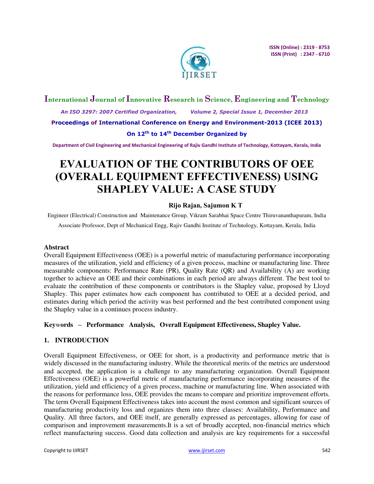

# **International Journal of Innovative Research in Science, Engineering and Technology**

 *An ISO 3297: 2007 Certified Organization, Volume 2, Special Issue 1, December 2013* 

**Proceedings of International Conference on Energy and Environment-2013 (ICEE 2013)** 

**On 12th to 14th December Organized by** 

**Department of Civil Engineering and Mechanical Engineering of Rajiv Gandhi Institute of Technology, Kottayam, Kerala, India** 

# **EVALUATION OF THE CONTRIBUTORS OF OEE (OVERALL EQUIPMENT EFFECTIVENESS) USING SHAPLEY VALUE: A CASE STUDY**

# **Rijo Rajan, Sajumon K T**

Engineer (Electrical) Construction and Maintenance Group, Vikram Sarabhai Space Centre Thiruvananthapuram, India

Associate Professor, Dept of Mechanical Engg, Rajiv Gandhi Institute of Technology, Kottayam, Kerala, India

#### **Abstract**

Overall Equipment Effectiveness (OEE) is a powerful metric of manufacturing performance incorporating measures of the utilization, yield and efficiency of a given process, machine or manufacturing line. Three measurable components: Performance Rate (PR), Quality Rate (QR) and Availability (A) are working together to achieve an OEE and their combinations in each period are always different. The best tool to evaluate the contribution of these components or contributors is the Shapley value, proposed by Lloyd Shapley. This paper estimates how each component has contributed to OEE at a decided period, and estimates during which period the activity was best performed and the best contributed component using the Shapley value in a continues process industry.

### **Key**w**ords – Performance Analysis, Overall Equipment Effectiveness, Shapley Value.**

#### **1. INTRODUCTION**

Overall Equipment Effectiveness, or OEE for short, is a productivity and performance metric that is widely discussed in the manufacturing industry. While the theoretical merits of the metrics are understood and accepted, the application is a challenge to any manufacturing organization. Overall Equipment Effectiveness (OEE) is a powerful metric of manufacturing performance incorporating measures of the utilization, yield and efficiency of a given process, machine or manufacturing line. When associated with the reasons for performance loss, OEE provides the means to compare and prioritize improvement efforts. The term Overall Equipment Effectiveness takes into account the most common and significant sources of manufacturing productivity loss and organizes them into three classes: Availability, Performance and Quality. All three factors, and OEE itself, are generally expressed as percentages, allowing for ease of comparison and improvement measurements.It is a set of broadly accepted, non-financial metrics which reflect manufacturing success. Good data collection and analysis are key requirements for a successful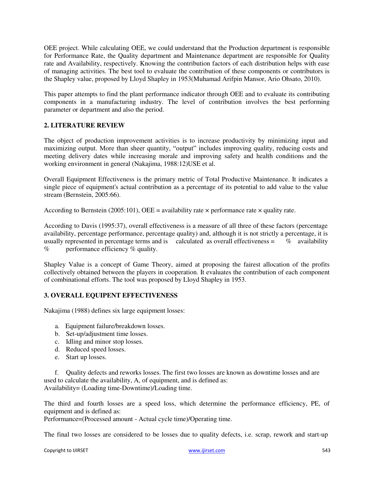OEE project. While calculating OEE, we could understand that the Production department is responsible for Performance Rate, the Quality department and Maintenance department are responsible for Quality rate and Availability, respectively. Knowing the contribution factors of each distribution helps with ease of managing activities. The best tool to evaluate the contribution of these components or contributors is the Shapley value, proposed by Lloyd Shapley in 1953(Muhamad Arifpin Mansor, Ario Ohsato, 2010).

This paper attempts to find the plant performance indicator through OEE and to evaluate its contributing components in a manufacturing industry. The level of contribution involves the best performing parameter or department and also the period.

# **2. LITERATURE REVIEW**

The object of production improvement activities is to increase productivity by minimizing input and maximizing output. More than sheer quantity, "output" includes improving quality, reducing costs and meeting delivery dates while increasing morale and improving safety and health conditions and the working environment in general (Nakajima, 1988:12)USE et al.

Overall Equipment Effectiveness is the primary metric of Total Productive Maintenance. It indicates a single piece of equipment's actual contribution as a percentage of its potential to add value to the value stream (Bernstein, 2005:66).

According to Bernstein (2005:101), OEE = availability rate  $\times$  performance rate  $\times$  quality rate.

According to Davis (1995:37), overall effectiveness is a measure of all three of these factors (percentage availability, percentage performance, percentage quality) and, although it is not strictly a percentage, it is usually represented in percentage terms and is calculated as overall effectiveness = % availability % performance efficiency % quality.

Shapley Value is a concept of Game Theory, aimed at proposing the fairest allocation of the profits collectively obtained between the players in cooperation. It evaluates the contribution of each component of combinational efforts. The tool was proposed by Lloyd Shapley in 1953.

#### **3. OVERALL EQUIPENT EFFECTIVENESS**

Nakajima (1988) defines six large equipment losses:

- a. Equipment failure/breakdown losses.
- b. Set-up/adjustment time losses.
- c. Idling and minor stop losses.
- d. Reduced speed losses.
- e. Start up losses.

f. Quality defects and reworks losses. The first two losses are known as downtime losses and are used to calculate the availability, A, of equipment, and is defined as: Availability= (Loading time-Downtime)/Loading time.

The third and fourth losses are a speed loss, which determine the performance efficiency, PE, of equipment and is defined as:

Performance=(Processed amount - Actual cycle time)/Operating time.

The final two losses are considered to be losses due to quality defects, i.e. scrap, rework and start-up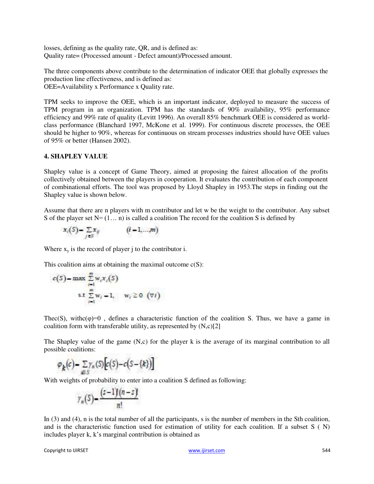losses, defining as the quality rate, QR, and is defined as: Quality rate= (Processed amount - Defect amount)/Processed amount.

The three components above contribute to the determination of indicator OEE that globally expresses the production line effectiveness, and is defined as: OEE=Availability x Performance x Quality rate.

TPM seeks to improve the OEE, which is an important indicator, deployed to measure the success of TPM program in an organization. TPM has the standards of 90% availability, 95% performance efficiency and 99% rate of quality (Levitt 1996). An overall 85% benchmark OEE is considered as worldclass performance (Blanchard 1997, McKone et al. 1999). For continuous discrete processes, the OEE should be higher to 90%, whereas for continuous on stream processes industries should have OEE values of 95% or better (Hansen 2002).

# **4. SHAPLEY VALUE**

Shapley value is a concept of Game Theory, aimed at proposing the fairest allocation of the profits collectively obtained between the players in cooperation. It evaluates the contribution of each component of combinational efforts. The tool was proposed by Lloyd Shapley in 1953.The steps in finding out the Shapley value is shown below.

Assume that there are n players with m contributor and let w be the weight to the contributor. Any subset S of the player set  $N=(1... n)$  is called a coalition The record for the coalition S is defined by

$$
x_i(S) - \sum_{j \in S} x_{ij} \qquad (i = 1, \ldots, m)
$$

Where  $x<sub>y</sub>$  is the record of player j to the contributor i.

This coalition aims at obtaining the maximal outcome  $c(S)$ :

$$
c(S) = \max \sum_{i=1}^{m} w_i x_i(S)
$$
  
s.t 
$$
\sum_{i=1}^{m} w_i = 1, \quad w_i \ge 0 \quad (\forall i)
$$

Thec(S), withc( $\varphi$ )=0, defines a characteristic function of the coalition S. Thus, we have a game in coalition form with transferable utility, as represented by  $(N, c)[2]$ 

The Shapley value of the game (N,c) for the player k is the average of its marginal contribution to all possible coalitions:

$$
\varphi_k(c) = \sum_{s \in S} \gamma_n(S) \big[ c(S) - c(S - \{k\}) \big]
$$

With weights of probability to enter into a coalition S defined as following:

$$
\gamma_n(5)-\frac{(z-1)(n-s)}{n!}
$$

In (3) and (4), n is the total number of all the participants, s is the number of members in the Sth coalition, and is the characteristic function used for estimation of utility for each coalition. If a subset S ( N) includes player k, k's marginal contribution is obtained as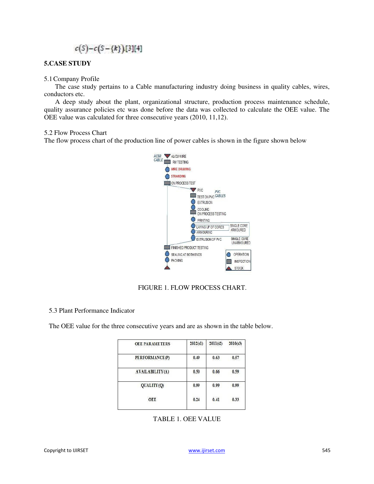# $c(S)-c(S-\{k\})$ [3][4]

#### **5.CASE STUDY**

#### 5.1Company Profile

The case study pertains to a Cable manufacturing industry doing business in quality cables, wires, conductors etc.

A deep study about the plant, organizational structure, production process maintenance schedule, quality assurance policies etc was done before the data was collected to calculate the OEE value. The OEE value was calculated for three consecutive years (2010, 11,12).

5.2 Flow Process Chart

The flow process chart of the production line of power cables is shown in the figure shown below



#### FIGURE 1. FLOW PROCESS CHART.

#### 5.3 Plant Performance Indicator

The OEE value for the three consecutive years and are as shown in the table below.

| <b>OEE PARAMETERS</b> | 2012(t1) | 2011(t2) | 2010(t3) |
|-----------------------|----------|----------|----------|
| PERFORMANCE(P)        | 0.49     | 0.63     | 0.57     |
| AVAILABILITY(A)       | 0.50     | 0.66     | 0.59     |
| QUALITY(Q)            | 0.99     | 0.99     | 0.99     |
| OEE                   | 0.24     | 0.41     | 0.33     |

TABLE 1. OEE VALUE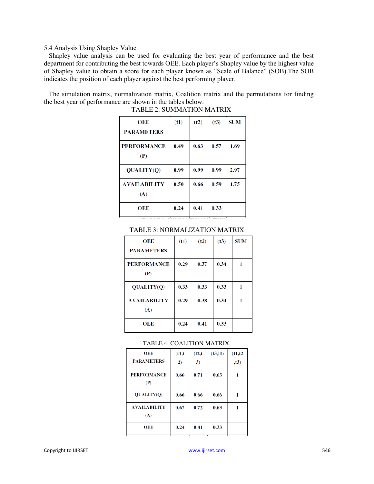#### 5.4 Analysis Using Shapley Value

Shapley value analysis can be used for evaluating the best year of performance and the best department for contributing the best towards OEE. Each player's Shapley value by the highest value of Shapley value to obtain a score for each player known as "Scale of Balance" (SOB).The SOB indicates the position of each player against the best performing player.

The simulation matrix, normalization matrix, Coalition matrix and the permutations for finding the best year of performance are shown in the tables below.

| OEE                 | (t1) | (t2) | (t3) | <b>SUM</b> |
|---------------------|------|------|------|------------|
| <b>PARAMETERS</b>   |      |      |      |            |
| <b>PERFORMANCE</b>  | 0.49 | 0.63 | 0.57 | 1.69       |
| (P)                 |      |      |      |            |
| QUALITY(Q)          | 0.99 | 0.99 | 0.99 | 2.97       |
| <b>AVAILABILITY</b> | 0.50 | 0.66 | 0.59 | 1.75       |
| (A)                 |      |      |      |            |
| OEE                 | 0.24 | 0.41 | 0.33 |            |
|                     |      |      |      |            |

TABLE 2: SUMMATION MATRIX

#### TABLE 3: NORMALIZATION MATRIX

| OEE                        | (t1) | (t2) | (t3) | <b>SUM</b> |
|----------------------------|------|------|------|------------|
| <b>PARAMETERS</b>          |      |      |      |            |
| <b>PERFORMANCE</b><br>(P)  | 0.29 | 0.37 | 0.34 |            |
| <b>OUALITY(O)</b>          | 0.33 | 0.33 | 0.33 |            |
| <b>AVAILABILITY</b><br>(A) | 0.29 | 0.38 | 0.34 | 1          |
| OEE                        | 0.24 | 0.41 | 0.33 |            |

#### TABLE 4: COALITION MATRIX.

| OEE<br><b>PARAMETERS</b>   | (t1,t)<br>$\mathbf{2}$ | (t2,t)<br>3) | (t3, t1) | (t1,t2)<br>,t3) |
|----------------------------|------------------------|--------------|----------|-----------------|
| <b>PERFORMANCE</b><br>(P)  | 0.66                   | 0.71         | 0.63     | 1               |
| <b>QUALITY(Q)</b>          | 0.66                   | 0.66         | 0.66     |                 |
| <b>AVAILABILITY</b><br>(A) | 0.67                   | 0.72         | 0.63     |                 |
| OEE                        | 0.24                   | 0.41         | 0.33     |                 |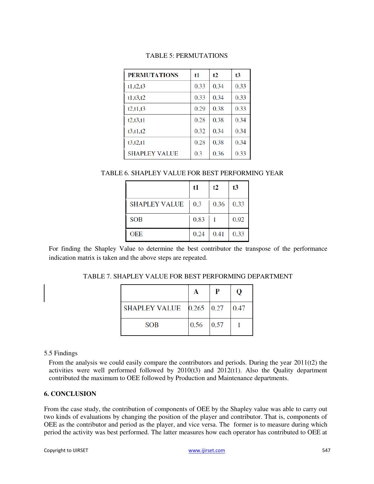# TABLE 5: PERMUTATIONS

| <b>PERMUTATIONS</b>  | t1   | t2   | t3   |
|----------------------|------|------|------|
| t1, t2, t3           | 0.33 | 0.34 | 0.33 |
| t1, t3, t2           | 0.33 | 0.34 | 0.33 |
| t2, t1, t3           | 0.29 | 0.38 | 0.33 |
| t2, t3, t1           | 0.28 | 0.38 | 0.34 |
| t3, t1, t2           | 0.32 | 0.34 | 0.34 |
| t3, t2, t1           | 0.28 | 0.38 | 0.34 |
| <b>SHAPLEY VALUE</b> | 0.3  | 0.36 | 0.33 |

# TABLE 6. SHAPLEY VALUE FOR BEST PERFORMING YEAR

|                      | t1   | t2   | t3   |
|----------------------|------|------|------|
| <b>SHAPLEY VALUE</b> | 0.3  | 0.36 | 0.33 |
| <b>SOB</b>           | 0.83 |      | 0.92 |
| <b>OEE</b>           | 0.24 | 0.41 | 0.33 |

For finding the Shapley Value to determine the best contributor the transpose of the performance indication matrix is taken and the above steps are repeated.

TABLE 7. SHAPLEY VALUE FOR BEST PERFORMING DEPARTMENT

|                                          |      | P    | റ    |
|------------------------------------------|------|------|------|
| SHAPLEY VALUE $\big 0.265\big 0.27\big $ |      |      | 0.47 |
| <b>SOB</b>                               | 0.56 | 0.57 |      |

#### 5.5 Findings

From the analysis we could easily compare the contributors and periods. During the year 2011(t2) the activities were well performed followed by  $2010(t3)$  and  $2012(t1)$ . Also the Quality department contributed the maximum to OEE followed by Production and Maintenance departments.

#### **6. CONCLUSION**

From the case study, the contribution of components of OEE by the Shapley value was able to carry out two kinds of evaluations by changing the position of the player and contributor. That is, components of OEE as the contributor and period as the player, and vice versa. The former is to measure during which period the activity was best performed. The latter measures how each operator has contributed to OEE at